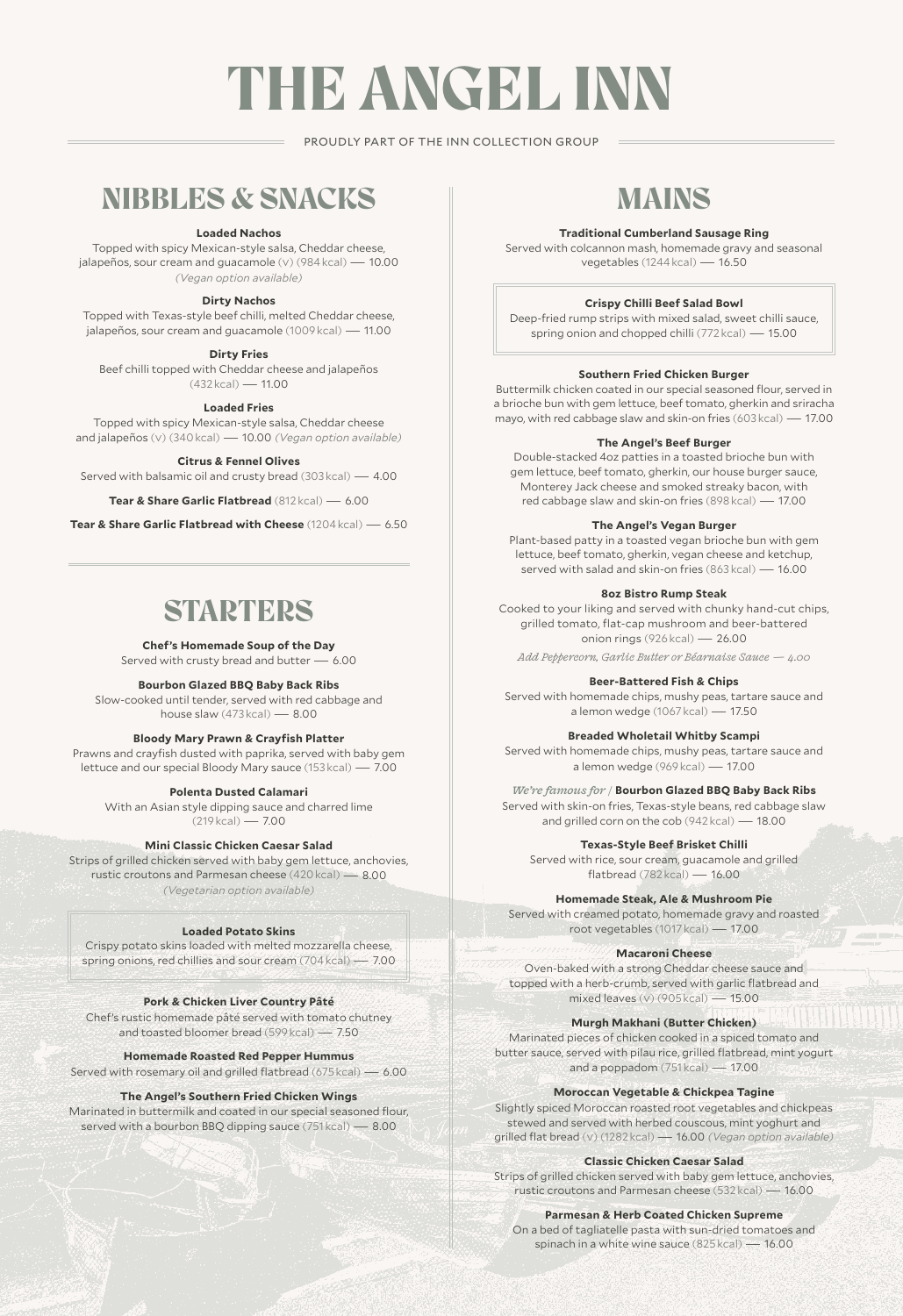# THE ANGEL INN

#### PROUDLY PART OF THE INN COLLECTION GROUP

## NIBBLES & SNACKS

#### **Loaded Nachos**

Topped with spicy Mexican-style salsa, Cheddar cheese, jalapeños, sour cream and guacamole (v) (984 kcal) — 10.00 *(Vegan option available)*

#### **Dirty Nachos**

Topped with Texas-style beef chilli, melted Cheddar cheese, jalapeños, sour cream and guacamole (1009 kcal) — 11.00

#### **Dirty Fries**

Beef chilli topped with Cheddar cheese and jalapeños  $(432 \text{ kcal}) - 11.00$ 

#### **Loaded Fries**

Topped with spicy Mexican-style salsa, Cheddar cheese and jalapeños (v) (340 kcal) — 10.00 *(Vegan option available)*

#### **Citrus & Fennel Olives**

Served with balsamic oil and crusty bread (303 kcal) — 4.00

**Tear & Share Garlic Flatbread** (812 kcal) — 6.00

**Tear & Share Garlic Flatbread with Cheese** (1204 kcal) — 6.50

### **STARTERS**

#### **Chef's Homemade Soup of the Day**

Served with crusty bread and butter — 6.00

#### **Bourbon Glazed BBQ Baby Back Ribs**

Slow-cooked until tender, served with red cabbage and house slaw (473 kcal) — 8.00

#### **Bloody Mary Prawn & Crayfish Platter**

Prawns and crayfish dusted with paprika, served with baby gem lettuce and our special Bloody Mary sauce (153 kcal) — 7.00

#### **Polenta Dusted Calamari**

With an Asian style dipping sauce and charred lime (219 kcal) — 7.00

**Mini Classic Chicken Caesar Salad**

Strips of grilled chicken served with baby gem lettuce, anchovies, rustic croutons and Parmesan cheese (420 kcal) — 8.00 *(Vegetarian option available)*

#### **Loaded Potato Skins**

Crispy potato skins loaded with melted mozzarella cheese, spring onions, red chillies and sour cream (704 kcal) — 7.00

**Pork & Chicken Liver Country Pâté**  Chef's rustic homemade pâté served with tomato chutney and toasted bloomer bread (599 kcal) — 7.50

**Homemade Roasted Red Pepper Hummus** 

Served with rosemary oil and grilled flatbread (675 kcal) — 6.00

#### **The Angel's Southern Fried Chicken Wings**

Marinated in buttermilk and coated in our special seasoned flour, served with a bourbon BBQ dipping sauce (751 kcal) — 8.00

# MAINS

#### **Traditional Cumberland Sausage Ring**

Served with colcannon mash, homemade gravy and seasonal vegetables (1244 kcal) — 16.50

#### **Crispy Chilli Beef Salad Bowl**

Deep-fried rump strips with mixed salad, sweet chilli sauce, spring onion and chopped chilli (772 kcal) — 15.00

#### **Southern Fried Chicken Burger**

Buttermilk chicken coated in our special seasoned flour, served in a brioche bun with gem lettuce, beef tomato, gherkin and sriracha mayo, with red cabbage slaw and skin-on fries (603 kcal) — 17.00

#### **The Angel's Beef Burger**

Double-stacked 4oz patties in a toasted brioche bun with gem lettuce, beef tomato, gherkin, our house burger sauce, Monterey Jack cheese and smoked streaky bacon, with red cabbage slaw and skin-on fries (898 kcal) — 17.00

#### **The Angel's Vegan Burger**

Plant-based patty in a toasted vegan brioche bun with gem lettuce, beef tomato, gherkin, vegan cheese and ketchup, served with salad and skin-on fries (863 kcal) — 16.00

#### **8oz Bistro Rump Steak**

Cooked to your liking and served with chunky hand-cut chips, grilled tomato, flat-cap mushroom and beer-battered onion rings (926 kcal) — 26.00

*Add Peppercorn, Garlic Butter or Béarnaise Sauce — 4.00*

#### **Beer-Battered Fish & Chips**

Served with homemade chips, mushy peas, tartare sauce and a lemon wedge (1067 kcal) — 17.50

#### **Breaded Wholetail Whitby Scampi**

Served with homemade chips, mushy peas, tartare sauce and a lemon wedge (969 kcal) — 17.00

#### *We're famous for /* **Bourbon Glazed BBQ Baby Back Ribs**

Served with skin-on fries, Texas-style beans, red cabbage slaw and grilled corn on the cob (942 kcal) — 18.00

#### **Texas-Style Beef Brisket Chilli**

Served with rice, sour cream, guacamole and grilled flatbread (782 kcal) — 16.00

#### **Homemade Steak, Ale & Mushroom Pie**

Served with creamed potato, homemade gravy and roasted root vegetables (1017 kcal) — 17.00

#### **Macaroni Cheese**

Oven-baked with a strong Cheddar cheese sauce and topped with a herb-crumb, served with garlic flatbread and mixed leaves (v) (905 kcal) — 15.00

#### **Murgh Makhani (Butter Chicken)**

Marinated pieces of chicken cooked in a spiced tomato and butter sauce, served with pilau rice, grilled flatbread, mint yogurt and a poppadom (751 kcal) — 17.00

#### **Moroccan Vegetable & Chickpea Tagine**

Slightly spiced Moroccan roasted root vegetables and chickpeas stewed and served with herbed couscous, mint yoghurt and grilled flat bread (v) (1282 kcal) — 16.00 *(Vegan option available)*

**Classic Chicken Caesar Salad**

Strips of grilled chicken served with baby gem lettuce, anchovies, rustic croutons and Parmesan cheese (532 kcal) — 16.00

#### **Parmesan & Herb Coated Chicken Supreme**

On a bed of tagliatelle pasta with sun-dried tomatoes and spinach in a white wine sauce (825 kcal) — 16.00